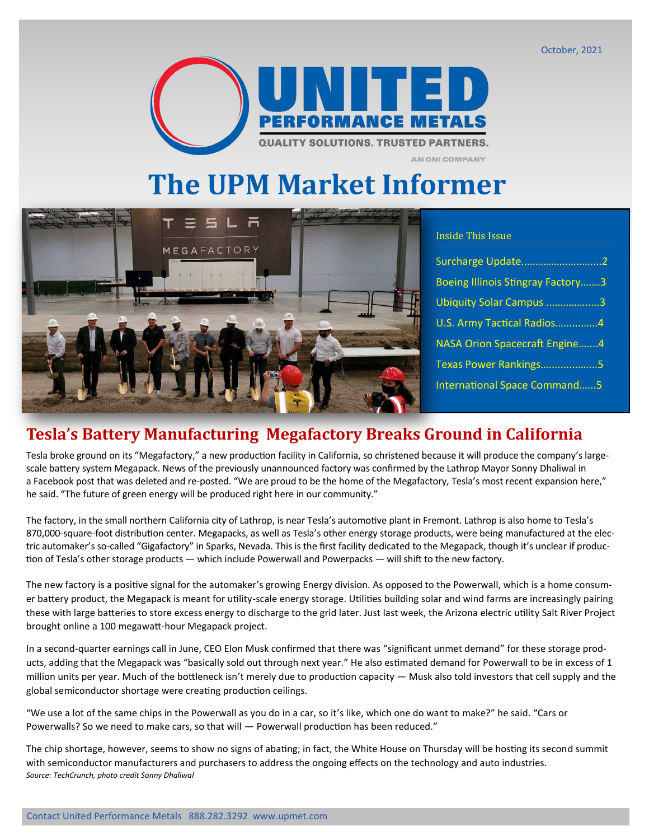#### October, 2021



**The UPM Market Informer**



#### Inside This Issue

**AN ONI COMPANY** 

| Surcharge Update2                        |
|------------------------------------------|
| <b>Boeing Illinois Stingray Factory3</b> |
| Ubiquity Solar Campus 3                  |
| U.S. Army Tactical Radios4               |
| <b>NASA Orion Spacecraft Engine4</b>     |
| Texas Power Rankings5                    |
| <b>International Space Command5</b>      |

#### **Tesla's Battery Manufacturing Megafactory Breaks Ground in California**

Tesla broke ground on its "Megafactory," a new production facility in California, so christened because it will produce the company's largescale battery system Megapack. News of the previously unannounced factory was confirmed by the Lathrop Mayor Sonny Dhaliwal in a [Facebook post](https://www.facebook.com/sonny.dhaliwal.5) that was deleted and re-posted. "We are proud to be the home of the Megafactory, Tesla's most recent expansion here," he said. "The future of green energy will be produced right here in our community."

The factory, in the small northern California city of Lathrop, is near Tesla's automotive plant in Fremont. Lathrop is also home to Tesla's 870,000-square-foot distribution center. Megapacks, as well as Tesla's other energy storage products, were being manufactured at the electric automaker's so-called "Gigafactory" in Sparks, Nevada. This is the first facility dedicated to the Megapack, though it's unclear if production of Tesla's other storage products — which include Powerwall and Powerpacks — will shift to the new factory.

The new factory is a positive signal for the automaker's growing Energy division. As opposed to the Powerwall, which is a home consumer battery product, the Megapack is meant for utility-scale energy storage. Utilities building solar and wind farms are increasingly pairing these with large batteries to store excess energy to discharge to the grid later. Just last week, the Arizona electric utility Salt River Project brought online a 100 megawatt-hour Megapack project.

In a second-quarter earnings call in June, CEO Elon Musk confirmed that there was "significant unmet demand" for these storage products, adding that the Megapack was "basically sold out through next year." He also estimated demand for Powerwall to be in excess of 1 million units per year. Much of the bottleneck isn't merely due to production capacity — Musk also told investors that cell supply and the global semiconductor shortage were creating production ceilings.

"We use a lot of the same chips in the Powerwall as you do in a car, so it's like, which one do want to make?" he said. "Cars or Powerwalls? So we need to make cars, so that will — Powerwall production has been reduced."

The chip shortage, however, seems to show no signs of abating; in fact, the White House on Thursday will be hosting its second summit with semiconductor manufacturers and purchasers to address the ongoing effects on the technology and auto industries. *Source: TechCrunch, photo credit [Sonny Dhaliwal](https://www.facebook.com/sonny.dhaliwal.5)*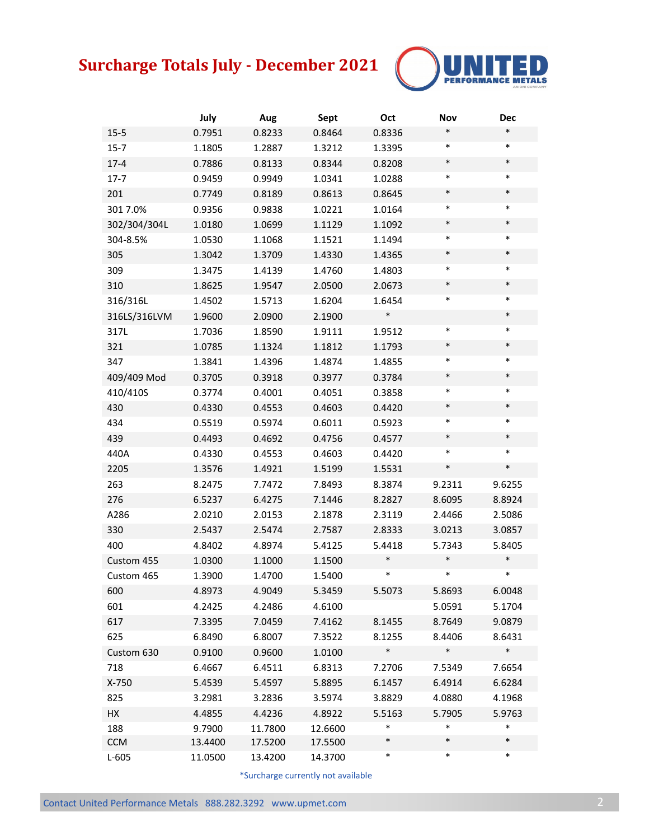# **Surcharge Totals July - December 2021**



|              | July    | Aug     | Sept    | Oct    | <b>Nov</b> | <b>Dec</b> |
|--------------|---------|---------|---------|--------|------------|------------|
| $15 - 5$     | 0.7951  | 0.8233  | 0.8464  | 0.8336 | $\ast$     | $\ast$     |
| $15 - 7$     | 1.1805  | 1.2887  | 1.3212  | 1.3395 | $\ast$     | $\ast$     |
| $17 - 4$     | 0.7886  | 0.8133  | 0.8344  | 0.8208 | $\ast$     | $\ast$     |
| $17 - 7$     | 0.9459  | 0.9949  | 1.0341  | 1.0288 | $\ast$     | $\ast$     |
| 201          | 0.7749  | 0.8189  | 0.8613  | 0.8645 | $\ast$     | $\ast$     |
| 3017.0%      | 0.9356  | 0.9838  | 1.0221  | 1.0164 | $\ast$     | $\ast$     |
| 302/304/304L | 1.0180  | 1.0699  | 1.1129  | 1.1092 | $\ast$     | $\ast$     |
| 304-8.5%     | 1.0530  | 1.1068  | 1.1521  | 1.1494 | $\ast$     | $\ast$     |
| 305          | 1.3042  | 1.3709  | 1.4330  | 1.4365 | $\ast$     | $\ast$     |
| 309          | 1.3475  | 1.4139  | 1.4760  | 1.4803 | $\ast$     | $\ast$     |
| 310          | 1.8625  | 1.9547  | 2.0500  | 2.0673 | $\ast$     | $\ast$     |
| 316/316L     | 1.4502  | 1.5713  | 1.6204  | 1.6454 | $\ast$     | $\ast$     |
| 316LS/316LVM | 1.9600  | 2.0900  | 2.1900  | $\ast$ |            | $\ast$     |
| 317L         | 1.7036  | 1.8590  | 1.9111  | 1.9512 | $\ast$     | $\ast$     |
| 321          | 1.0785  | 1.1324  | 1.1812  | 1.1793 | $\ast$     | $\ast$     |
| 347          | 1.3841  | 1.4396  | 1.4874  | 1.4855 | $\ast$     | $\ast$     |
| 409/409 Mod  | 0.3705  | 0.3918  | 0.3977  | 0.3784 | $\ast$     | $\ast$     |
| 410/410S     | 0.3774  | 0.4001  | 0.4051  | 0.3858 | $\ast$     | $\ast$     |
| 430          | 0.4330  | 0.4553  | 0.4603  | 0.4420 | $\ast$     | $\ast$     |
| 434          | 0.5519  | 0.5974  | 0.6011  | 0.5923 | $\ast$     | $\ast$     |
| 439          | 0.4493  | 0.4692  | 0.4756  | 0.4577 | $\ast$     | $\ast$     |
| 440A         | 0.4330  | 0.4553  | 0.4603  | 0.4420 | $\ast$     | $\ast$     |
| 2205         | 1.3576  | 1.4921  | 1.5199  | 1.5531 | $\ast$     | $\ast$     |
| 263          | 8.2475  | 7.7472  | 7.8493  | 8.3874 | 9.2311     | 9.6255     |
| 276          | 6.5237  | 6.4275  | 7.1446  | 8.2827 | 8.6095     | 8.8924     |
| A286         | 2.0210  | 2.0153  | 2.1878  | 2.3119 | 2.4466     | 2.5086     |
| 330          | 2.5437  | 2.5474  | 2.7587  | 2.8333 | 3.0213     | 3.0857     |
| 400          | 4.8402  | 4.8974  | 5.4125  | 5.4418 | 5.7343     | 5.8405     |
| Custom 455   | 1.0300  | 1.1000  | 1.1500  | $\ast$ | $\ast$     | $\ast$     |
| Custom 465   | 1.3900  | 1.4700  | 1.5400  | $\ast$ | *          | $\ast$     |
| 600          | 4.8973  | 4.9049  | 5.3459  | 5.5073 | 5.8693     | 6.0048     |
| 601          | 4.2425  | 4.2486  | 4.6100  |        | 5.0591     | 5.1704     |
| 617          | 7.3395  | 7.0459  | 7.4162  | 8.1455 | 8.7649     | 9.0879     |
| 625          | 6.8490  | 6.8007  | 7.3522  | 8.1255 | 8.4406     | 8.6431     |
| Custom 630   | 0.9100  | 0.9600  | 1.0100  | $\ast$ | $\ast$     | $\ast$     |
| 718          | 6.4667  | 6.4511  | 6.8313  | 7.2706 | 7.5349     | 7.6654     |
| X-750        | 5.4539  | 5.4597  | 5.8895  | 6.1457 | 6.4914     | 6.6284     |
| 825          | 3.2981  | 3.2836  | 3.5974  | 3.8829 | 4.0880     | 4.1968     |
| HX           | 4.4855  | 4.4236  | 4.8922  | 5.5163 | 5.7905     | 5.9763     |
| 188          | 9.7900  | 11.7800 | 12.6600 | $\ast$ | *          | $\ast$     |
| <b>CCM</b>   | 13.4400 | 17.5200 | 17.5500 | $\ast$ | $\ast$     | $\ast$     |
| $L-605$      | 11.0500 | 13.4200 | 14.3700 | $\ast$ | $\ast$     | $\ast$     |

\*Surcharge currently not available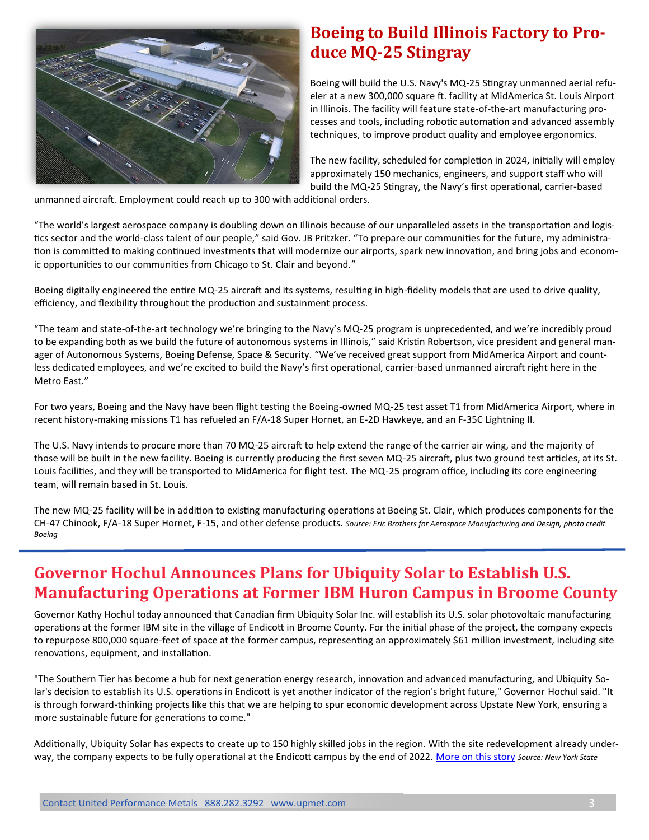

#### **Boeing to Build Illinois Factory to Produce MQ-25 Stingray**

Boeing will build the U.S. Navy's MQ-25 Stingray unmanned aerial refueler at a new 300,000 square ft. facility at MidAmerica St. Louis Airport in Illinois. The facility will feature state-of-the-art manufacturing processes and tools, including robotic automation and advanced assembly techniques, to improve product quality and employee ergonomics.

The new facility, scheduled for completion in 2024, initially will employ approximately 150 mechanics, engineers, and support staff who will build the MQ-25 Stingray, the Navy's first operational, carrier-based

unmanned aircraft. Employment could reach up to 300 with additional orders.

"The world's largest aerospace company is doubling down on Illinois because of our unparalleled assets in the transportation and logistics sector and the world-class talent of our people," said Gov. JB Pritzker. "To prepare our communities for the future, my administration is committed to making continued investments that will modernize our airports, spark new innovation, and bring jobs and economic opportunities to our communities from Chicago to St. Clair and beyond."

Boeing digitally engineered the entire MQ-25 aircraft and its systems, resulting in high-fidelity models that are used to drive quality, efficiency, and flexibility throughout the production and sustainment process.

"The team and state-of-the-art technology we're bringing to the Navy's MQ-25 program is unprecedented, and we're incredibly proud to be expanding both as we build the future of autonomous systems in Illinois," said Kristin Robertson, vice president and general manager of Autonomous Systems, Boeing Defense, Space & Security. "We've received great support from MidAmerica Airport and countless dedicated employees, and we're excited to build the Navy's first operational, carrier-based unmanned aircraft right here in the Metro East."

For two years, Boeing and the Navy have been flight testing the Boeing-owned MQ-25 test asset T1 from MidAmerica Airport, where in recent history-making missions T1 has refueled an F/A-18 Super Hornet, an E-2D Hawkeye, and an F-35C Lightning II.

The U.S. Navy intends to procure more than 70 MQ-25 aircraft to help extend the range of the carrier air wing, and the majority of those will be built in the new facility. Boeing is currently producing the first seven MQ-25 aircraft, plus two ground test articles, at its St. Louis facilities, and they will be transported to MidAmerica for flight test. The MQ-25 program office, including its core engineering team, will remain based in St. Louis.

The new MQ-25 facility will be in addition to existing manufacturing operations at Boeing St. Clair, which produces components for the CH-47 Chinook, F/A-18 Super Hornet, F-15, and other defense products. *Source: Eric Brothers for Aerospace Manufacturing and Design, photo credit Boeing*

#### **Governor Hochul Announces Plans for Ubiquity Solar to Establish U.S. Manufacturing Operations at Former IBM Huron Campus in Broome County**

Governor Kathy Hochul today announced that Canadian firm Ubiquity Solar Inc. will establish its U.S. solar photovoltaic manufacturing operations at the former IBM site in the village of Endicott in Broome County. For the initial phase of the project, the company expects to repurpose 800,000 square-feet of space at the former campus, representing an approximately \$61 million investment, including site renovations, equipment, and installation.

"The Southern Tier has become a hub for next generation energy research, innovation and advanced manufacturing, and Ubiquity Solar's decision to establish its U.S. operations in Endicott is yet another indicator of the region's bright future," Governor Hochul said. "It is through forward-thinking projects like this that we are helping to spur economic development across Upstate New York, ensuring a more sustainable future for generations to come."

Additionally, Ubiquity Solar has expects to create up to 150 highly skilled jobs in the region. With the site redevelopment already underway, the company expects to be fully operational at the Endicott campus by the end of 2022. [More on this story](https://www.governor.ny.gov/news/governor-hochul-announces-plans-ubiquity-solar-establish-us-manufacturing-operations-former) *Source: New York State*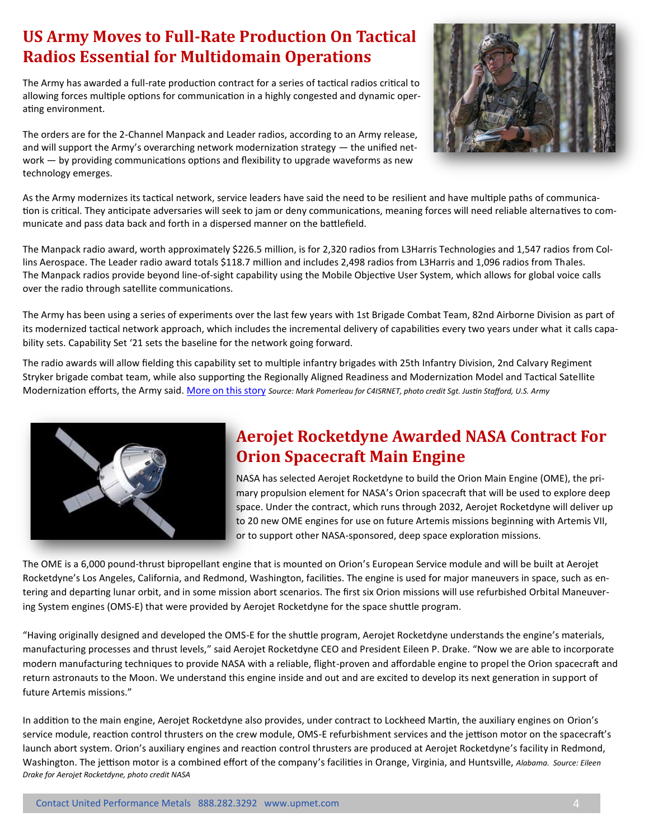#### **US Army Moves to Full-Rate Production On Tactical Radios Essential for Multidomain Operations**

The Army has awarded a full-rate production contract for a series of tactical radios critical to allowing forces multiple options for communication in a highly congested and dynamic operating environment.

The orders are for the 2-Channel Manpack and Leader radios, according to an Army release, and will support the Army's overarching network modernization strategy — [the unified net](https://www.c4isrnet.com/battlefield-tech/it-networks/2021/01/25/army-connecting-tactical-and-enterprise-networks-for-multidomain-operations/)[work](https://www.c4isrnet.com/battlefield-tech/it-networks/2021/01/25/army-connecting-tactical-and-enterprise-networks-for-multidomain-operations/) — by providing communications options and flexibility to upgrade waveforms as new technology emerges.



As the Army modernizes its tactical network, service leaders have said the need to be resilient and have multiple paths of communica[tion](https://www.c4isrnet.com/battlefield-tech/it-networks/2021/04/12/the-armys-faster-way-to-field-tactical-network-gear-gets-its-first-big-test/) is critical. They anticipate adversaries will seek to jam or deny communications, meaning forces will need reliable alternatives to communicate and pass data back and forth in a dispersed manner on the battlefield.

The Manpack radio award, worth approximately \$226.5 million, is for 2,320 radios from L3Harris Technologies and 1,547 radios from Collins Aerospace. The Leader radio award totals \$118.7 million and includes 2,498 radios from L3Harris and 1,096 radios from Thales. The Manpack radios provide beyond line-of-sight capability using the Mobile Objective User System, which allows for global voice calls over the radio through satellite communications.

The Army has been using a series of experiments over the last few years with 1st Brigade Combat Team, 82nd Airborne Division as part of its modernized tactical network approach, which includes the incremental delivery of capabilities every two years under what it calls capability sets. Capability Set '21 sets the baseline for the network going forward.

The radio awards will allow fielding this capability set to multiple infantry brigades with 25th Infantry Division, 2nd Calvary Regiment Stryker brigade combat team, while also supporting the Regionally Aligned Readiness and Modernization Model and Tactical Satellite Modernization efforts, the Army said. [More on this story](https://www.c4isrnet.com/battlefield-tech/c2-comms/2021/09/24/us-army-moves-to-full-rate-production-on-tactical-radios-essential-for-multidomain-operations/) *Source: Mark Pomerleau for C4ISRNET, photo credit Sgt. Justin Stafford, U.S. Army*



## **Aerojet Rocketdyne Awarded NASA Contract For Orion Spacecraft Main Engine**

NASA has selected Aerojet Rocketdyne to build the Orion Main Engine (OME), the primary propulsion element for NASA's Orion spacecraft that will be used to explore deep space. Under the contract, which runs through 2032, Aerojet Rocketdyne will deliver up to 20 new OME engines for use on future Artemis missions beginning with Artemis VII, or to support other NASA-sponsored, deep space exploration missions.

The OME is a 6,000 pound-thrust bipropellant engine that is mounted on Orion's European Service module and will be built at Aerojet Rocketdyne's Los Angeles, California, and Redmond, Washington, facilities. The engine is used for major maneuvers in space, such as entering and departing lunar orbit, and in some mission abort scenarios. The first six Orion missions will use refurbished Orbital Maneuvering System engines (OMS-E) that were provided by Aerojet Rocketdyne for the space shuttle program.

"Having originally designed and developed the OMS-E for the shuttle program, Aerojet Rocketdyne understands the engine's materials, manufacturing processes and thrust levels," said Aerojet Rocketdyne CEO and President Eileen P. Drake. "Now we are able to incorporate modern manufacturing techniques to provide NASA with a reliable, flight-proven and affordable engine to propel the Orion spacecraft and return astronauts to the Moon. We understand this engine inside and out and are excited to develop its next generation in support of future Artemis missions."

In addition to the main engine, Aerojet Rocketdyne also provides, under contract to Lockheed Martin, the auxiliary engines on Orion's service module, reaction control thrusters on the crew module, OMS-E refurbishment services and the jettison motor on the spacecraft's launch abort system. Orion's auxiliary engines and reaction control thrusters are produced at Aerojet Rocketdyne's facility in Redmond, Washington. The jettison motor is a combined effort of the company's facilities in Orange, Virginia, and Huntsville, *Alabama. Source: Eileen Drake for Aerojet Rocketdyne, photo credit NASA*